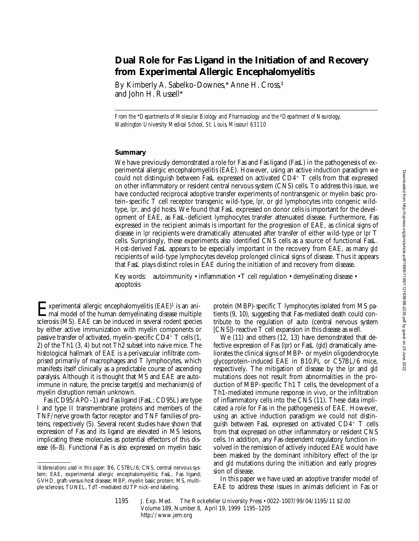# **Dual Role for Fas Ligand in the Initiation of and Recovery from Experimental Allergic Encephalomyelitis**

By Kimberly A. Sabelko-Downes,\* Anne H. Cross,‡ and John H. Russell\*

*From the \*Departments of Molecular Biology and Pharmacology and the <sup>‡</sup>Department of Neurology, Washington University Medical School, St. Louis, Missouri 63110*

#### **Summary**

We have previously demonstrated a role for Fas and Fas ligand (FasL) in the pathogenesis of experimental allergic encephalomyelitis (EAE). However, using an active induction paradigm we could not distinguish between FasL expressed on activated  $CD4^+$  T cells from that expressed on other inflammatory or resident central nervous system (CNS) cells. To address this issue, we have conducted reciprocal adoptive transfer experiments of nontransgenic or myelin basic protein–specific T cell receptor transgenic wild-type, *lpr*, or *gld* lymphocytes into congenic wildtype, *lpr*, and *gld* hosts. We found that FasL expressed on donor cells is important for the development of EAE, as FasL-deficient lymphocytes transfer attenuated disease. Furthermore, Fas expressed in the recipient animals is important for the progression of EAE, as clinical signs of disease in *lpr* recipients were dramatically attenuated after transfer of either wild-type or *lpr* T cells. Surprisingly, these experiments also identified CNS cells as a source of functional FasL. Host-derived FasL appears to be especially important in the recovery from EAE, as many *gld* recipients of wild-type lymphocytes develop prolonged clinical signs of disease. Thus it appears that FasL plays distinct roles in EAE during the initiation of and recovery from disease.

Key words: autoimmunity • inflammation • T cell regulation • demyelinating disease • apoptosis

Experimental allergic encephalomyelitis  $(EAE)^1$  is an ani-<br>mal model of the human demyelinating disease multiple sclerosis (MS). EAE can be induced in several rodent species by either active immunization with myelin components or passive transfer of activated, myelin-specific  $CD4^+$  T cells  $(1, 1)$ 2) of the Th1 (3, 4) but not Th2 subset into naive mice. The histological hallmark of EAE is a perivascular infiltrate comprised primarily of macrophages and T lymphocytes, which manifests itself clinically as a predictable course of ascending paralysis. Although it is thought that MS and EAE are autoimmune in nature, the precise target(s) and mechanism(s) of myelin disruption remain unknown.

Fas (CD95/APO-1) and Fas ligand (FasL; CD95L) are type I and type II transmembrane proteins and members of the TNF/nerve growth factor receptor and TNF families of proteins, respectively (5). Several recent studies have shown that expression of Fas and its ligand are elevated in MS lesions, implicating these molecules as potential effectors of this disease (6–8). Functional Fas is also expressed on myelin basic

protein (MBP)-specific T lymphocytes isolated from MS patients (9, 10), suggesting that Fas-mediated death could contribute to the regulation of auto (central nervous system [CNS])-reactive T cell expansion in this disease as well.

We (11) and others (12, 13) have demonstrated that defective expression of Fas (*lpr*) or FasL (*gld*) dramatically ameliorates the clinical signs of MBP- or myelin oligodendrocyte glycoprotein–induced EAE in B10.PL or C57BL/6 mice, respectively. The mitigation of disease by the *lpr* and *gld* mutations does not result from abnormalities in the production of MBP-specific Th1 T cells, the development of a Th1-mediated immune response in vivo, or the infiltration of inflammatory cells into the CNS (11). These data implicated a role for Fas in the pathogenesis of EAE. However, using an active induction paradigm we could not distinguish between FasL expressed on activated  $CD4^+$  T cells from that expressed on other inflammatory or resident CNS cells. In addition, any Fas-dependent regulatory function involved in the remission of actively induced EAE would have been masked by the dominant inhibitory effect of the *lpr* and *gld* mutations during the initiation and early progression of disease.

In this paper we have used an adoptive transfer model of EAE to address these issues in animals deficient in Fas or

<sup>1</sup>*Abbreviations used in this paper:* B6, C57BL/6; CNS, central nervous system; EAE, experimental allergic encephalomyelitis; FasL, Fas ligand; GVHD, graft-versus-host disease; MBP, myelin basic protein; MS, multiple sclerosis; TUNEL, TdT-mediated dUTP nick-end labeling.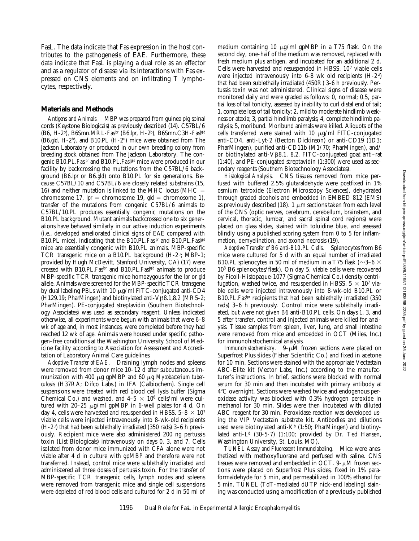FasL. The data indicate that Fas expression in the host contributes to the pathogenesis of EAE. Furthermore, these data indicate that FasL is playing a dual role as an effector and as a regulator of disease via its interactions with Fas expressed on CNS elements and on infiltrating T lymphocytes, respectively.

#### **Materials and Methods**

*Antigens and Animals.* MBP was prepared from guinea pig spinal cords (Keystone Biologicals) as previously described (14). C57BL/6 (B6, H-2b), B6Smn.MRL-*Faslpr* (B6.*lpr*, H-2b), B6Smn.C3H-*Faslgld* (B6.*gld*, H-2b), and B10.PL (H-2u) mice were obtained from The Jackson Laboratory or produced in our own breeding colony from breeding stock obtained from The Jackson Laboratory. The congenic B10.PL.*Faslpr* and B10.PL.*Faslgld* mice were produced in our facility by backcrossing the mutations from the C57BL/6 background (B6.*lpr* or B6.*gld*) onto B10.PL for six generations. Because C57BL/10 and C57BL/6 are closely related substrains (15, 16) and neither mutation is linked to the MHC locus (MHC  $=$ chromosome 17,  $lp =$  chromosome 19,  $l =$  chromosome 1), transfer of the mutations from congenic C57BL/6 animals to C57BL/10.PL produces essentially congenic mutations on the B10.PL background. Mutant animals backcrossed one to six generations have behaved similarly in our active induction experiments (i.e., developed ameliorated clinical signs of EAE compared with B10.PL mice), indicating that the B10.PL.*Faslpr* and B10.PL.*Faslgld* mice are essentially congenic with B10.PL animals. MBP-specific TCR transgenic mice on a B10.PL background (H-2u; MBP-1; provided by Hugh McDevitt, Stanford University, CA) (17) were crossed with B10.PL.*Faslpr* and B10.PL.*Faslgld* animals to produce MBP-specific TCR transgenic mice homozygous for the *lpr* or *gld* allele. Animals were screened for the MBP-specific TCR transgene by dual labeling PBLs with 10  $\mu$ g/ml FITC-conjugated anti-CD4 (H129.19; PharMingen) and biotinylated anti-V $\beta$ 8.1,8.2 (MR5-2; PharMingen). PE-conjugated streptavidin (Southern Biotechnology Associates) was used as secondary reagent. Unless indicated otherwise, all experiments were begun with animals that were 6–8 wk of age and, in most instances, were completed before they had reached 12 wk of age. Animals were housed under specific pathogen–free conditions at the Washington University School of Medicine facility according to Association for Assessment and Accreditation of Laboratory Animal Care guidelines.

*Adoptive Transfer of EAE.* Draining lymph nodes and spleens were removed from donor mice 10–12 d after subcutaneous immunization with 400 mg gpMBP and 60 mg *Mycobacterium tuberculosis* (H37RA; Difco Labs.) in IFA (Calbiochem). Single cell suspensions were treated with red blood cell lysis buffer (Sigma Chemical Co.) and washed, and  $4-5 \times 10^6$  cells/ml were cultured with 20-25  $\mu$ g/ml gpMBP in 6-well plates for 4 d. On day 4, cells were harvested and resuspended in HBSS.  $5-8 \times 10^7$ viable cells were injected intravenously into 8-wk-old recipients (H-2u) that had been sublethally irradiated (350 rads) 3–6 h previously. Recipient mice were also administered 200 ng pertussis toxin (List Biologicals) intravenously on days 0, 3, and 7. Cells isolated from donor mice immunized with CFA alone were not viable after 4 d in culture with gpMBP and therefore were not transferred. Instead, control mice were sublethally irradiated and administered all three doses of pertussis toxin. For the transfer of MBP-specific TCR transgenic cells, lymph nodes and spleens were removed from transgenic mice and single cell suspensions were depleted of red blood cells and cultured for 2 d in 50 ml of

medium containing 10  $\mu$ g/ml gpMBP in a T75 flask. On the second day, one-half of the medium was removed, replaced with fresh medium plus antigen, and incubated for an additional 2 d. Cells were harvested and resuspended in HBSS. 107 viable cells were injected intravenously into 6-8 wk old recipients (H-2u) that had been sublethally irradiated (450R) 3-6 h previously. Pertussis toxin was not administered. Clinical signs of disease were monitored daily and were graded as follows: 0, normal; 0.5, partial loss of tail tonicity, assessed by inability to curl distal end of tail; 1, complete loss of tail tonicity; 2, mild to moderate hindlimb weakness or ataxia; 3, partial hindlimb paralysis; 4, complete hindlimb paralysis; 5, moribund. Moribund animals were killed. Aliquots of the cells transferred were stained with  $10 \mu g/ml$  FITC-conjugated anti-CD4, anti-Lyt-2 (Becton Dickinson) or anti-CD19 (1D3; PharMingen), purified anti-CD11b (M1/70; PharMingen), and/ or biotinylated anti-V $\beta$ 8.1, 8.2. FITC-conjugated goat anti-rat (1:40), and PE-conjugated streptavidin (1:300) were used as secondary reagents (Southern Biotechnology Associates).

*Histological Analysis.* CNS tissues removed from mice perfused with buffered 2.5% glutaraldehyde were postfixed in 1% osmium tetroxide (Electron Microscopy Sciences), dehydrated through graded alcohols and embedded in EMBED 812 (EMS) as previously described (18). 1  $\mu$ m sections taken from each level of the CNS (optic nerves, cerebrum, cerebellum, brainstem, and cervical, thoracic, lumbar, and sacral spinal cord regions) were placed on glass slides, stained with toluidine blue, and assessed blindly using a published scoring system from 0 to 5 for inflammation, demyelination, and axonal necrosis (19).

*Adoptive Transfer of B6 anti-B10.PL Cells.* Splenocytes from B6 mice were cultured for 5 d with an equal number of irradiated B10.PL splenocytes in 50 ml of medium in a T75 flask ( $\sim$ 3–6  $\times$ 108 B6 splenocytes/flask). On day 5, viable cells were recovered by Ficoll-Histopaque-1077 (Sigma Chemical Co.) density centrifugation, washed twice, and resuspended in HBSS.  $5 \times 10^7$  viable cells were injected intravenously into 8-wk-old B10.PL or B10.PL.*Faslpr* recipients that had been sublethally irradiated (350 rads) 3–6 h previously. Control mice were sublethally irradiated, but were not given B6 anti-B10.PL cells. On days 1, 3, and 5 after transfer, control and injected animals were killed for analysis. Tissue samples from spleen, liver, lung, and small intestine were removed from mice and embedded in OCT (Miles, Inc.) for immunohistochemical analysis.

*Immunohistochemistry.* 9- $\mu$ M frozen sections were placed on Superfrost Plus slides (Fisher Scientific Co.) and fixed in acetone for 10 min. Sections were stained with the appropriate Vectastain ABC-Elite kit (Vector Labs, Inc.) according to the manufacturer's instructions. In brief, sections were blocked with normal serum for 30 min and then incubated with primary antibody at 48C overnight. Sections were washed twice and endogenous peroxidase activity was blocked with 0.3% hydrogen peroxide in methanol for 30 min. Slides were then incubated with diluted ABC reagent for 30 min. Peroxidase reaction was developed using the VIP Vectastain substrate kit. Antibodies and dilutions used were biotinylated anti- $K<sup>b</sup>$  (1:50; PharMingen) and biotinylated anti- $L<sup>d</sup>$  (30-5-7) (1:100; provided by Dr. Ted Hansen, Washington University, St. Louis, MO).

*TUNEL Assay and Fluorescent Immunolabeling.* Mice were anesthetized with methoxyfluorane and perfused with saline. CNS tissues were removed and embedded in OCT.  $9-\mu M$  frozen sections were placed on Superfrost Plus slides, fixed in 1% paraformaldehyde for 5 min, and permeabilized in 100% ethanol for 5 min. TUNEL (TdT-mediated dUTP nick-end labeling) staining was conducted using a modification of a previously published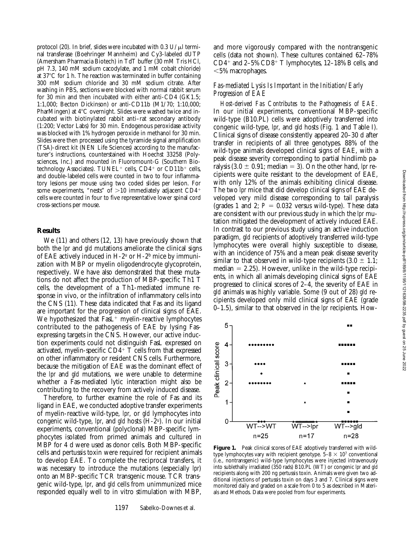н.

protocol (20). In brief, slides were incubated with  $0.3$  U/ $\mu$ l terminal transferase (Boehringer Mannheim) and Cy3-labeled dUTP (Amersham Pharmacia Biotech) in TdT buffer (30 mM Tris HCl, pH 7.3, 140 mM sodium cacodylate, and 1 mM cobalt chloride) at  $37^{\circ}$ C for 1 h. The reaction was terminated in buffer containing 300 mM sodium chloride and 30 mM sodium citrate. After washing in PBS, sections were blocked with normal rabbit serum for 30 min and then incubated with either anti-CD4 (GK1.5; 1:1,000; Becton Dickinson) or anti-CD11b (M1/70; 1:10,000; PharMingen) at  $4^{\circ}$ C overnight. Slides were washed twice and incubated with biotinylated rabbit anti–rat secondary antibody (1:200; Vector Labs) for 30 min. Endogenous peroxidase activity was blocked with 1% hydrogen peroxide in methanol for 30 min. Slides were then processed using the tyramide signal amplification (TSA)-direct kit (NEN Life Sciences) according to the manufacturer's instructions, counterstained with Hoechst 33258 (Polysciences, Inc.) and mounted in Fluoromount-G (Southern Biotechnology Associates). TUNEL<sup>+</sup> cells,  $CD4$ <sup>+</sup> or  $CD11b$ <sup>+</sup> cells, and double-labeled cells were counted in two to four inflammatory lesions per mouse using two coded slides per lesion. For some experiments, "nests" of  $>10$  immediately adjacent CD4+ cells were counted in four to five representative lower spinal cord cross-sections per mouse.

#### **Results**

We (11) and others (12, 13) have previously shown that both the *lpr* and *gld* mutations ameliorate the clinical signs of EAE actively induced in  $H-2^u$  or  $H-2^b$  mice by immunization with MBP or myelin oligodendrocyte glycoprotein, respectively. We have also demonstrated that these mutations do not affect the production of MBP-specific Th1 T cells, the development of a Th1-mediated immune response in vivo, or the infiltration of inflammatory cells into the CNS (11). These data indicated that Fas and its ligand are important for the progression of clinical signs of EAE. We hypothesized that  $Fast<sup>+</sup>$  myelin-reactive lymphocytes contributed to the pathogenesis of EAE by lysing Fasexpressing targets in the CNS. However, our active induction experiments could not distinguish FasL expressed on activated, myelin-specific  $CD4+T$  cells from that expressed on other inflammatory or resident CNS cells. Furthermore, because the mitigation of EAE was the dominant effect of the *lpr* and *gld* mutations, we were unable to determine whether a Fas-mediated lytic interaction might also be contributing to the recovery from actively induced disease.

Therefore, to further examine the role of Fas and its ligand in EAE, we conducted adoptive transfer experiments of myelin-reactive wild-type, *lpr*, or *gld* lymphocytes into congenic wild-type, *lpr*, and *gld* hosts (H-2u). In our initial experiments, conventional (polyclonal) MBP-specific lymphocytes isolated from primed animals and cultured in MBP for 4 d were used as donor cells. Both MBP-specific cells and pertussis toxin were required for recipient animals to develop EAE. To complete the reciprocal transfers, it was necessary to introduce the mutations (especially *lpr*) onto an MBP-specific TCR transgenic mouse. TCR transgenic wild-type, *lpr*, and *gld* cells from unimmunized mice responded equally well to in vitro stimulation with MBP,

and more vigorously compared with the nontransgenic cells (data not shown). These cultures contained 62–78%  $CD4^+$  and  $2-5\%$   $CD8^+$  T lymphocytes, 12-18% B cells, and  $<$ 5% macrophages.

# *Fas-mediated Lysis Is Important in the Initiation/Early Progression of EAE*

*Host-derived Fas Contributes to the Pathogenesis of EAE.* In our initial experiments, conventional MBP-specific wild-type (B10.PL) cells were adoptively transferred into congenic wild-type, *lpr*, and *gld* hosts (Fig. 1 and Table I). Clinical signs of disease consistently appeared 20–30 d after transfer in recipients of all three genotypes. 88% of the wild-type animals developed clinical signs of EAE, with a peak disease severity corresponding to partial hindlimb paralysis  $(3.0 \pm 0.91; \text{median} = 3)$ . On the other hand, *lpr* recipients were quite resistant to the development of EAE, with only 12% of the animals exhibiting clinical disease. The two *lpr* mice that did develop clinical signs of EAE developed very mild disease corresponding to tail paralysis (grades 1 and 2;  $P = 0.032$  versus wild-type). These data are consistent with our previous study in which the *lpr* mutation mitigated the development of actively induced EAE. In contrast to our previous study using an active induction paradigm, *gld* recipients of adoptively transferred wild-type lymphocytes were overall highly susceptible to disease, with an incidence of 75% and a mean peak disease severity similar to that observed in wild-type recipients  $(3.0 \pm 1.1)$ ; median  $= 2.25$ ). However, unlike in the wild-type recipients, in which all animals developing clinical signs of EAE progressed to clinical scores of 2–4, the severity of EAE in *gld* animals was highly variable. Some (9 out of 28) *gld* recipients developed only mild clinical signs of EAE (grade 0–1.5), similar to that observed in the *lpr* recipients. How-



5

Figure 1. Peak clinical scores of EAE adoptively transferred with wildtype lymphocytes vary with recipient genotype.  $5-8 \times 10^7$  conventional (i.e., nontransgenic) wild-type lymphocytes were injected intravenously into sublethally irradiated (350 rads) B10.PL (WT) or congenic *lpr* and *gld* recipients along with 200 ng pertussis toxin. Animals were given two additional injections of pertussis toxin on days 3 and 7. Clinical signs were monitored daily and graded on a scale from 0 to 5 as described in Materials and Methods. Data were pooled from four experiments.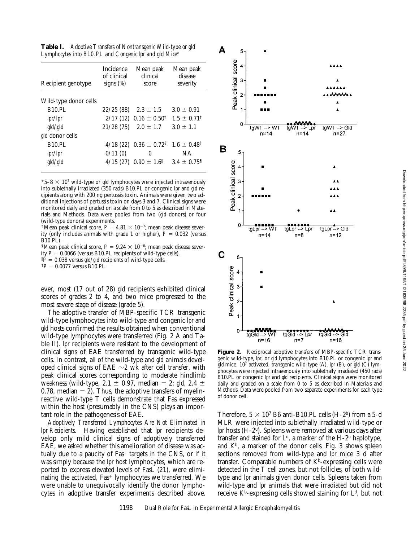| Recipient genotype     | <b>Incidence</b><br>of clinical<br>signs $(\%)$ | Mean peak<br>clinical<br>score          | Mean peak<br>disease<br>severity |
|------------------------|-------------------------------------------------|-----------------------------------------|----------------------------------|
| Wild-type donor cells  |                                                 |                                         |                                  |
| <b>B10.PL</b>          | 22/25(88)                                       | $2.3 \pm 1.5$                           | $3.0 \pm 0.91$                   |
| lpr/lpr                |                                                 | $2/17(12)$ 0.16 $\pm$ 0.50 <sup>‡</sup> | $1.5 \pm 0.71^{\ddagger}$        |
| gld/gld                | 21/28(75)                                       | $2.0 \pm 1.7$                           | $3.0 \pm 1.1$                    |
| <i>gld</i> donor cells |                                                 |                                         |                                  |
| <b>B10.PL</b>          | 4/18(22)                                        | $0.36 \pm 0.72$ <sup>§</sup>            | $1.6 \pm 0.48$ <sup>§</sup>      |
| lpr/lpr                | 0/11(0)                                         | 0                                       | ΝA                               |
| gld/gld                | 4/15(27)                                        | $0.90 \pm 1.6$                          | $3.4 \pm 0.75$ <sup>1</sup>      |

\*5–8  $\times$  10<sup>7</sup> wild-type or *gld* lymphocytes were injected intravenously into sublethally irradiated (350 rads) B10.PL or congenic *lpr* and *gld* recipients along with 200 ng pertussis toxin. Animals were given two additional injections of pertussis toxin on days 3 and 7. Clinical signs were monitored daily and graded on a scale from 0 to 5 as described in Materials and Methods. Data were pooled from two (*gld* donors) or four (wild-type donors) experiments.

<sup>‡</sup>Mean peak clinical score,  $P = 4.81 \times 10^{-7}$ ; mean peak disease severity (only includes animals with grade 1 or higher),  $P = 0.032$  (versus B10.PL).

<sup>§</sup>Mean peak clinical score,  $P = 9.24 \times 10^{-6}$ ; mean peak disease sever-

ity  $P = 0.0066$  (versus B10.PL recipients of wild-type cells).

 $\mathbb{I}P = 0.038$  versus *gld/gld* recipients of wild-type cells.  ${}^{9}P = 0.0077$  versus B10.PL.

ever, most (17 out of 28) *gld* recipients exhibited clinical scores of grades 2 to 4, and two mice progressed to the most severe stage of disease (grade 5).

The adoptive transfer of MBP-specific TCR transgenic wild-type lymphocytes into wild-type and congenic *lpr* and *gld* hosts confirmed the results obtained when conventional wild-type lymphocytes were transferred (Fig. 2 A and Table II). *lpr* recipients were resistant to the development of clinical signs of EAE transferred by transgenic wild-type cells. In contrast, all of the wild-type and *gld* animals developed clinical signs of EAE  $\sim$ 2 wk after cell transfer, with peak clinical scores corresponding to moderate hindlimb weakness (wild-type,  $2.1 \pm 0.97$ , median = 2; *gld*,  $2.4 \pm$ 0.78, median  $= 2$ ). Thus, the adoptive transfers of myelinreactive wild-type T cells demonstrate that Fas expressed within the host (presumably in the CNS) plays an important role in the pathogenesis of EAE.

*Adoptively Transferred Lymphocytes Are Not Eliminated in lpr Recipients.* Having established that *lpr* recipients develop only mild clinical signs of adoptively transferred EAE, we asked whether this amelioration of disease was actually due to a paucity of  $Fast$  targets in the CNS, or if it was simply because the *lpr* host lymphocytes, which are reported to express elevated levels of FasL (21), were eliminating the activated,  $Fast<sup>+</sup>$  lymphocytes we transferred. We were unable to unequivocally identify the donor lymphocytes in adoptive transfer experiments described above.



Figure 2. Reciprocal adoptive transfers of MBP-specific TCR transgenic wild-type, *lpr*, or *gld* lymphocytes into B10.PL or congenic *lpr* and *gld* mice. 107 activated, transgenic wild-type (A), *lpr* (B), or *gld* (C) lymphocytes were injected intravenously into sublethally irradiated (450 rads) B10.PL or congenic *lpr* and *gld* recipients. Clinical signs were monitored daily and graded on a scale from 0 to 5 as described in Materials and Methods. Data were pooled from two separate experiments for each type of donor cell.

Therefore,  $5 \times 10^7$  B6 anti-B10.PL cells (H-2b) from a 5-d MLR were injected into sublethally irradiated wild-type or *lpr* hosts (H-2u). Spleens were removed at various days after transfer and stained for  $L^d$ , a marker of the H-2<sup>u</sup> haplotype, and  $K^b$ , a marker of the donor cells. Fig. 3 shows spleen sections removed from wild-type and *lpr* mice 3 d after transfer. Comparable numbers of  $K^b$ -expressing cells were detected in the T cell zones, but not follicles, of both wildtype and *lpr* animals given donor cells. Spleens taken from wild-type and *lpr* animals that were irradiated but did not receive  $K^b$ -expressing cells showed staining for  $L^d$ , but not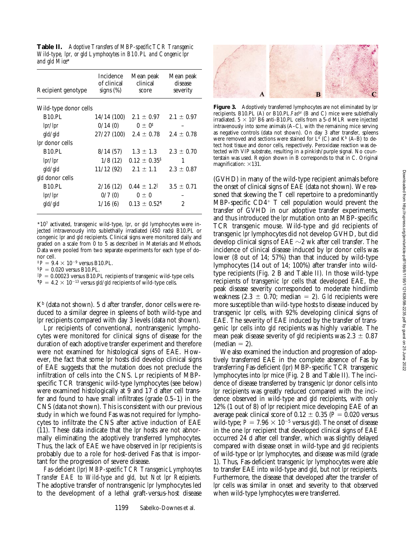**Table II.** *Adoptive Transfers of MBP-specific TCR Transgenic Wild-type, lpr, or gld Lymphocytes in B10.PL and Congenic lpr and gld Mice*\*

| Recipient genotype    | Incidence<br>of clinical<br>signs $(\%)$ | Mean peak<br>clinical<br>score | Mean peak<br>disease<br>severity |
|-----------------------|------------------------------------------|--------------------------------|----------------------------------|
| Wild-type donor cells |                                          |                                |                                  |
| <b>B10.PL</b>         | 14/14 (100)                              | $2.1 \pm 0.97$                 | $2.1 \pm 0.97$                   |
| lpr/lpr               | 0/14(0)                                  | $0 \pm 0^{\ddagger}$           |                                  |
| gld/gld               | 27/27(100)                               | $2.4 \pm 0.78$                 | $2.4 \pm 0.78$                   |
| lpr donor cells       |                                          |                                |                                  |
| <b>B10.PL</b>         | 8/14(57)                                 | $1.3 \pm 1.3$                  | $2.3 \pm 0.70$                   |
| lpr/lpr               | 1/8(12)                                  | $0.12 \pm 0.35$ <sup>§</sup>   | 1                                |
| gld/gld               | 11/12(92)                                | $2.1 \pm 1.1$                  | $2.3 \pm 0.87$                   |
| gld donor cells       |                                          |                                |                                  |
| <b>B10.PL</b>         | 2/16(12)                                 | $0.44 \pm 1.2$                 | $3.5 \pm 0.71$                   |
| lpr/lpr               | 0/7(0)                                   | $0\pm 0$                       |                                  |
| gld/gld               | 1/16(6)                                  | $0.13 \pm 0.521$               | $\overline{c}$                   |

\*107 activated, transgenic wild-type, *lpr*, or *gld* lymphocytes were injected intravenously into sublethally irradiated (450 rads) B10.PL or congenic *lpr* and *gld* recipients. Clinical signs were monitored daily and graded on a scale from 0 to 5 as described in Materials and Methods. Data were pooled from two separate experiments for each type of donor cell.

 ${}^{1}P = 9.4 \times 10^{-9}$  versus B10.PL.

 $$P = 0.020$  versus B10.PL.

 $P = 0.00023$  versus B10.PL recipients of transgenic wild-type cells.  $P = 4.2 \times 10^{-13}$  versus *gld/gld* recipients of wild-type cells.

 $K<sup>b</sup>$  (data not shown). 5 d after transfer, donor cells were reduced to a similar degree in spleens of both wild-type and *lpr* recipients compared with day 3 levels (data not shown).

*Lpr* recipients of conventional, nontransgenic lymphocytes were monitored for clinical signs of disease for the duration of each adoptive transfer experiment and therefore were not examined for histological signs of EAE. However, the fact that some *lpr* hosts did develop clinical signs of EAE suggests that the mutation does not preclude the infiltration of cells into the CNS. *Lpr* recipients of MBPspecific TCR transgenic wild-type lymphocytes (see below) were examined histologically at 9 and 17 d after cell transfer and found to have small infiltrates (grade 0.5–1) in the CNS (data not shown). This is consistent with our previous study in which we found Fas was not required for lymphocytes to infiltrate the CNS after active induction of EAE (11). These data indicate that the *lpr* hosts are not abnormally eliminating the adoptively transferred lymphocytes. Thus, the lack of EAE we have observed in *lpr* recipients is probably due to a role for host-derived Fas that is important for the progression of severe disease.

*Fas-deficient (lpr) MBP-specific TCR Transgenic Lymphocytes Transfer EAE to Wild-type and gld, but Not lpr Recipients.* The adoptive transfer of nontransgenic *lpr* lymphocytes led to the development of a lethal graft-versus-host disease



**Figure 3.** Adoptively transferred lymphocytes are not eliminated by *lpr* recipients. B10.PL (A) or B10.PL.*Faslpr* (B and C) mice were sublethally irradiated.  $5 \times 10^7$  B6 anti-B10.PL cells from a 5-d MLR were injected intravenously into some animals (A–C), with the remaining mice serving as negative controls (data not shown). On day 3 after transfer, spleens were removed and sections were stained for  $L<sup>d</sup>$  (C) and K<sup>b</sup> (A-B) to detect host tissue and donor cells, respectively. Peroxidase reaction was detected with VIP substrate, resulting in a pinkish/purple signal. No counterstain was used. Region shown in B corresponds to that in C. Original magnification:  $\times$ 131.

(GVHD) in many of the wild-type recipient animals before the onset of clinical signs of EAE (data not shown). We reasoned that skewing the T cell repertoire to a predominantly MBP-specific  $CD<sub>4</sub><sup>+</sup>$  T cell population would prevent the transfer of GVHD in our adoptive transfer experiments, and thus introduced the *lpr* mutation onto an MBP-specific TCR transgenic mouse. Wild-type and *gld* recipients of transgenic *lpr* lymphocytes did not develop GVHD, but did develop clinical signs of EAE  $\sim$ 2 wk after cell transfer. The incidence of clinical disease induced by *lpr* donor cells was lower (8 out of 14; 57%) than that induced by wild-type lymphocytes (14 out of 14; 100%) after transfer into wildtype recipients (Fig. 2 B and Table II). In those wild-type recipients of transgenic *lpr* cells that developed EAE, the peak disease severity corresponded to moderate hindlimb weakness  $(2.3 \pm 0.70; \text{ median} = 2)$ . *Gld* recipients were more susceptible than wild-type hosts to disease induced by transgenic *lpr* cells, with 92% developing clinical signs of EAE. The severity of EAE induced by the transfer of transgenic *lpr* cells into *gld* recipients was highly variable. The mean peak disease severity of *gld* recipients was  $2.3 \pm 0.87$  $(median = 2)$ .

We also examined the induction and progression of adoptively transferred EAE in the complete absence of Fas by transferring Fas-deficient (*lpr*) MBP-specific TCR transgenic lymphocytes into *lpr* mice (Fig. 2 B and Table II). The incidence of disease transferred by transgenic *lpr* donor cells into *lpr* recipients was greatly reduced compared with the incidence observed in wild-type and *gld* recipients, with only 12% (1 out of 8) of *lpr* recipient mice developing EAE of an average peak clinical score of  $0.12 \pm 0.35$  ( $P = 0.020$  versus wild-type;  $P = 7.96 \times 10^{-5}$  versus *gld*). The onset of disease in the one *lpr* recipient that developed clinical signs of EAE occurred 24 d after cell transfer, which was slightly delayed compared with disease onset in wild-type and *gld* recipients of wild-type or *lpr* lymphocytes, and disease was mild (grade 1). Thus, Fas-deficient transgenic *lpr* lymphocytes were able to transfer EAE into wild-type and *gld*, but not *lpr* recipients. Furthermore, the disease that developed after the transfer of *lpr* cells was similar in onset and severity to that observed when wild-type lymphocytes were transferred.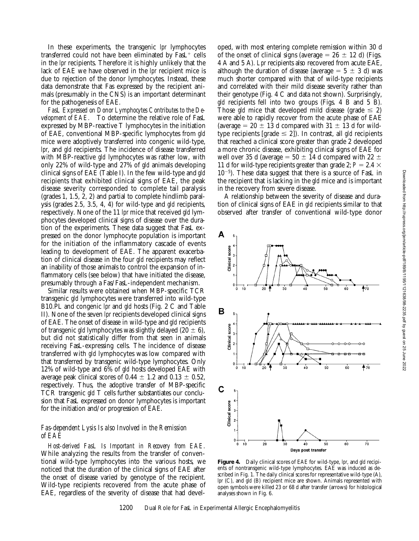In these experiments, the transgenic *lpr* lymphocytes transferred could not have been eliminated by  $Fast<sup>+</sup>$  cells in the *lpr* recipients. Therefore it is highly unlikely that the lack of EAE we have observed in the *lpr* recipient mice is due to rejection of the donor lymphocytes. Instead, these data demonstrate that Fas expressed by the recipient animals (presumably in the CNS) is an important determinant for the pathogenesis of EAE.

*FasL Expressed on Donor Lymphocytes Contributes to the Development of EAE.* To determine the relative role of FasL expressed by MBP-reactive T lymphocytes in the initiation of EAE, conventional MBP-specific lymphocytes from *gld* mice were adoptively transferred into congenic wild-type, *lpr*, and *gld* recipients. The incidence of disease transferred with MBP-reactive *gld* lymphocytes was rather low, with only 22% of wild-type and 27% of *gld* animals developing clinical signs of EAE (Table I). In the few wild-type and *gld* recipients that exhibited clinical signs of EAE, the peak disease severity corresponded to complete tail paralysis (grades 1, 1.5, 2, 2) and partial to complete hindlimb paralysis (grades 2.5, 3.5, 4, 4) for wild-type and *gld* recipients, respectively. None of the 11 *lpr* mice that received *gld* lymphocytes developed clinical signs of disease over the duration of the experiments. These data suggest that FasL expressed on the donor lymphocyte population is important for the initiation of the inflammatory cascade of events leading to development of EAE. The apparent exacerbation of clinical disease in the four *gld* recipients may reflect an inability of those animals to control the expansion of inflammatory cells (see below) that have initiated the disease, presumably through a Fas/FasL-independent mechanism.

Similar results were obtained when MBP-specific TCR transgenic *gld* lymphocytes were transferred into wild-type B10.PL and congenic *lpr* and *gld* hosts (Fig. 2 C and Table II). None of the seven *lpr* recipients developed clinical signs of EAE. The onset of disease in wild-type and *gld* recipients of transgenic *gld* lymphocytes was slightly delayed (20  $\pm$  6), but did not statistically differ from that seen in animals receiving FasL-expressing cells. The incidence of disease transferred with *gld* lymphocytes was low compared with that transferred by transgenic wild-type lymphocytes. Only 12% of wild-type and 6% of *gld* hosts developed EAE with average peak clinical scores of  $0.44 \pm 1.2$  and  $0.13 \pm 0.52$ , respectively. Thus, the adoptive transfer of MBP-specific TCR transgenic *gld* T cells further substantiates our conclusion that FasL expressed on donor lymphocytes is important for the initiation and/or progression of EAE.

# *Fas-dependent Lysis Is also Involved in the Remission of EAE*

*Host-derived FasL Is Important in Recovery from EAE.* While analyzing the results from the transfer of conventional wild-type lymphocytes into the various hosts, we noticed that the duration of the clinical signs of EAE after the onset of disease varied by genotype of the recipient. Wild-type recipients recovered from the acute phase of EAE, regardless of the severity of disease that had developed, with most entering complete remission within 30 d of the onset of clinical signs (average  $= 26 \pm 12$  d) (Figs. 4 A and 5 A). *Lpr* recipients also recovered from acute EAE, although the duration of disease (average  $= 5 \pm 3$  d) was much shorter compared with that of wild-type recipients and correlated with their mild disease severity rather than their genotype (Fig. 4 C and data not shown). Surprisingly, *gld* recipients fell into two groups (Figs. 4 B and 5 B). Those *gld* mice that developed mild disease (grade  $\leq$  2) were able to rapidly recover from the acute phase of EAE (average  $= 20 \pm 13$  d compared with  $31 \pm 13$  d for wildtype recipients [grade  $\leq$  2]). In contrast, all *gld* recipients that reached a clinical score greater than grade 2 developed a more chronic disease, exhibiting clinical signs of EAE for well over 35 d (average =  $50 \pm 14$  d compared with 22  $\pm$ 11 d for wild-type recipients greater than grade 2;  $P = 2.4 \times$  $10^{-5}$ ). These data suggest that there is a source of FasL in the recipient that is lacking in the *gld* mice and is important in the recovery from severe disease.

A relationship between the severity of disease and duration of clinical signs of EAE in *gld* recipients similar to that observed after transfer of conventional wild-type donor



**Figure 4.** Daily clinical scores of EAE for wild-type, *lpr*, and *gld* recipients of nontransgenic wild-type lymphocytes. EAE was induced as described in Fig. 1. The daily clinical scores for representative wild-type (A), *lpr* (C), and *gld* (B) recipient mice are shown. Animals represented with open symbols were killed 23 or 68 d after transfer (arrows) for histological analyses shown in Fig. 6.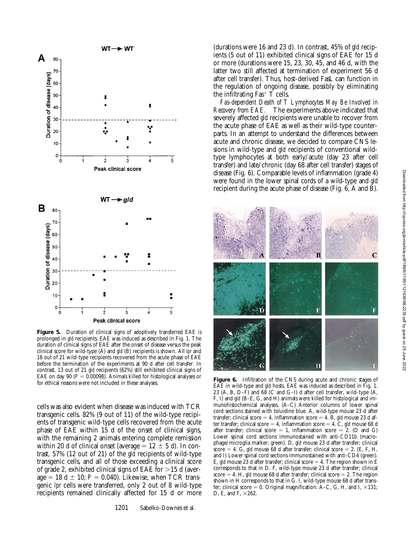

**Figure 5.** Duration of clinical signs of adoptively transferred EAE is prolonged in *gld* recipients. EAE was induced as described in Fig. 1. The duration of clinical signs of EAE after the onset of disease versus the peak clinical score for wild-type (A) and *gld* (B) recipients is shown. All *lpr* and 18 out of 21 wild-type recipients recovered from the acute phase of EAE before the termination of the experiments at 90 d after cell transfer. In contrast, 13 out of 21 *gld* recipients (62%) still exhibited clinical signs of EAE on day 90 ( $P = 0.00098$ ). Animals killed for histological analyses or

cells was also evident when disease was induced with TCR transgenic cells. 82% (9 out of 11) of the wild-type recipients of transgenic wild-type cells recovered from the acute phase of EAE within 15 d of the onset of clinical signs, with the remaining 2 animals entering complete remission within 20 d of clinical onset (average  $= 12 \pm 5$  d). In contrast, 57% (12 out of 21) of the *gld* recipients of wild-type transgenic cells, and all of those exceeding a clinical score of grade 2, exhibited clinical signs of EAE for  $>15$  d (average  $= 18$  d  $\pm 10$ ;  $P = 0.040$ ). Likewise, when TCR transgenic *lpr* cells were transferred, only 2 out of 8 wild-type recipients remained clinically affected for 15 d or more

(durations were 16 and 23 d). In contrast, 45% of *gld* recipients (5 out of 11) exhibited clinical signs of EAE for 15 d or more (durations were 15, 23, 30, 45, and 46 d, with the latter two still affected at termination of experiment 56 d after cell transfer). Thus, host-derived FasL can function in the regulation of ongoing disease, possibly by eliminating the infiltrating Fas<sup>+</sup>  $\overline{T}$  cells.

*Fas-dependent Death of T Lymphocytes May Be Involved in Recovery from EAE.* The experiments above indicated that severely affected *gld* recipients were unable to recover from the acute phase of EAE as well as their wild-type counterparts. In an attempt to understand the differences between acute and chronic disease, we decided to compare CNS lesions in wild-type and *gld* recipients of conventional wildtype lymphocytes at both early/acute (day 23 after cell transfer) and late/chronic (day 68 after cell transfer) stages of disease (Fig. 6). Comparable levels of inflammation (grade 4) were found in the lower spinal cords of a wild-type and *gld* recipient during the acute phase of disease (Fig. 6, A and B).



Figure 6. Infiltration of the CNS during acute and chronic stages of for ethical reasons were not included in these analyses.<br>  $F_{AB}$  is wild time and del heats. EAE was induced as determined in Fig. 1. EAE in wild-type and *gld* hosts. EAE was induced as described in Fig. 1. 23 (A, B, D–F) and 68 (C and G–I) d after cell transfer, wild-type (A, F, I) and *gld* (B–E, G, and H) animals were killed for histological and immunohistochemical analyses. (A–C) Anterior columns of lower spinal cord sections stained with toluidine blue. A, wild-type mouse 23 d after transfer; clinical score  $= 4$ , inflammation score  $= 4$ . B, *gld* mouse 23 d after transfer; clinical score = 4, inflammation score = 4. C, *gld* mouse 68 d after transfer; clinical score = 1, inflammation score = 2. (D and G) Lower spinal cord sections immunostained with anti-CD11b (macrophage/microglia marker; green). D, *gld* mouse 23 d after transfer; clinical score  $= 4$ . G, *gld* mouse 68 d after transfer; clinical score  $= 2$ . (E, F, H, and I) Lower spinal cord sections immunostained with anti-CD4 (green). E, gld mouse 23 d after transfer; clinical score  $=$  4. The region shown in E corresponds to that in D. F, wild-type mouse 23 d after transfer; clinical score  $= 4$ . H, *gld* mouse 68 d after transfer; clinical score  $= 2$ . The region shown in H corresponds to that in G. I, wild-type mouse 68 d after transfer; clinical score = 0. Original magnification: A–C, G, H, and I,  $\times$ 131; D, E, and F,  $\times 262$ .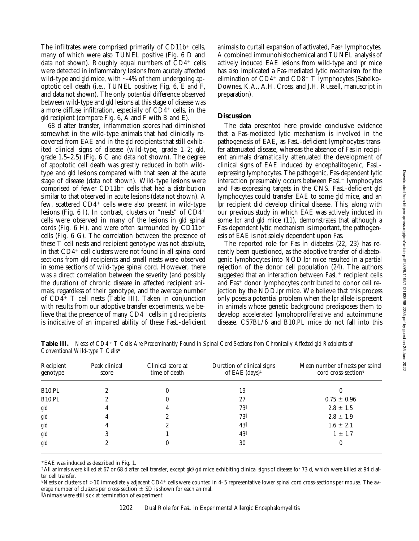The infiltrates were comprised primarily of  $CD11b<sup>+</sup>$  cells, many of which were also TUNEL positive (Fig. 6 D and data not shown). Roughly equal numbers of  $CD4^+$  cells were detected in inflammatory lesions from acutely affected wild-type and *gld* mice, with  $\sim$ 4% of them undergoing apoptotic cell death (i.e., TUNEL positive; Fig. 6, E and F, and data not shown). The only potential difference observed between wild-type and *gld* lesions at this stage of disease was a more diffuse infiltration, especially of  $CD4<sup>+</sup>$  cells, in the *gld* recipient (compare Fig. 6, A and F with B and E).

68 d after transfer, inflammation scores had diminished somewhat in the wild-type animals that had clinically recovered from EAE and in the *gld* recipients that still exhibited clinical signs of disease (wild-type, grade 1–2; *gld*, grade 1.5–2.5) (Fig. 6 C and data not shown). The degree of apoptotic cell death was greatly reduced in both wildtype and *gld* lesions compared with that seen at the acute stage of disease (data not shown). Wild-type lesions were comprised of fewer  $CD11b<sup>+</sup>$  cells that had a distribution similar to that observed in acute lesions (data not shown). A few, scattered  $CD4^+$  cells were also present in wild-type lesions (Fig.  $6$  I). In contrast, clusters or "nests" of  $CD4$ <sup>+</sup> cells were observed in many of the lesions in *gld* spinal cords (Fig. 6 H), and were often surrounded by  $CD11b^+$ cells (Fig. 6 G). The correlation between the presence of these T cell nests and recipient genotype was not absolute, in that  $CD4^+$  cell clusters were not found in all spinal cord sections from *gld* recipients and small nests were observed in some sections of wild-type spinal cord. However, there was a direct correlation between the severity (and possibly the duration) of chronic disease in affected recipient animals, regardless of their genotype, and the average number of  $CD4^+$  T cell nests (Table III). Taken in conjunction with results from our adoptive transfer experiments, we believe that the presence of many CD4<sup>+</sup> cells in *gld* recipients is indicative of an impaired ability of these FasL-deficient

animals to curtail expansion of activated,  $Fast+lymphocytes$ . A combined immunohistochemical and TUNEL analysis of actively induced EAE lesions from wild-type and *lpr* mice has also implicated a Fas-mediated lytic mechanism for the elimination of  $CD4^+$  and  $CD8^+$  T lymphocytes (Sabelko-Downes, K.A., A.H. Cross, and J.H. Russell, manuscript in preparation).

## **Discussion**

The data presented here provide conclusive evidence that a Fas-mediated lytic mechanism is involved in the pathogenesis of EAE, as FasL-deficient lymphocytes transfer attenuated disease, whereas the absence of Fas in recipient animals dramatically attenuated the development of clinical signs of EAE induced by encephalitogenic, FasLexpressing lymphocytes. The pathogenic, Fas-dependent lytic interaction presumably occurs between  $Fast<sup>+</sup>$  lymphocytes and Fas-expressing targets in the CNS. FasL-deficient *gld* lymphocytes could transfer EAE to some *gld* mice, and an *lpr* recipient did develop clinical disease. This, along with our previous study in which EAE was actively induced in some *lpr* and *gld* mice (11), demonstrates that although a Fas-dependent lytic mechanism is important, the pathogenesis of EAE is not solely dependent upon Fas.

The reported role for Fas in diabetes (22, 23) has recently been questioned, as the adoptive transfer of diabetogenic lymphocytes into NOD.*lpr* mice resulted in a partial rejection of the donor cell population (24). The authors suggested that an interaction between  $Fast<sup>+</sup>$  recipient cells and Fas<sup>+</sup> donor lymphocytes contributed to donor cell rejection by the NOD.*lpr* mice. We believe that this process only poses a potential problem when the *lpr* allele is present in animals whose genetic background predisposes them to develop accelerated lymphoproliferative and autoimmune disease. C57BL/6 and B10.PL mice do not fall into this

| Conventional Wild-type T Cells* |                        |                                    |                                                                                |                                                                    |  |  |
|---------------------------------|------------------------|------------------------------------|--------------------------------------------------------------------------------|--------------------------------------------------------------------|--|--|
| Recipient<br>genotype           | Peak clinical<br>score | Clinical score at<br>time of death | Duration of clinical signs<br>of EAE $(days)$ <sup><math>\ddagger</math></sup> | Mean number of nests per spinal<br>cord cross-section <sup>§</sup> |  |  |
| B <sub>10</sub> .PL             |                        |                                    | 19                                                                             |                                                                    |  |  |
| <b>B10.PL</b>                   | 2                      |                                    | 27                                                                             | $0.75 \pm 0.96$                                                    |  |  |
| gld                             | 4                      |                                    | 73                                                                             | $2.8 \pm 1.5$                                                      |  |  |
| gld                             |                        |                                    | 73                                                                             | $2.8 \pm 1.9$                                                      |  |  |
| gld                             | 4                      |                                    | $43\parallel$                                                                  | $1.6 \pm 2.1$                                                      |  |  |
| gld                             |                        |                                    | $43\parallel$                                                                  | $1 \pm 1.7$                                                        |  |  |

**Table III.** *Nests of CD4*1 *T Cells Are Predominantly Found in Spinal Cord Sections from Chronically Affected gld Recipients of* 

*gld* 2 0 30 30 0

\*EAE was induced as described in Fig. 1.

‡All animals were killed at 67 or 68 d after cell transfer, except *gld/gld* mice exhibiting clinical signs of disease for 73 d, which were killed at 94 d after cell transfer.

 $\frac{1}{2}$  Nests or clusters of  $>10$  immediately adjacent CD4<sup>+</sup> cells were counted in 4–5 representative lower spinal cord cross-sections per mouse. The average number of clusters per cross-section  $\pm$  SD is shown for each animal.

 $\mathbb I$ Animals were still sick at termination of experiment.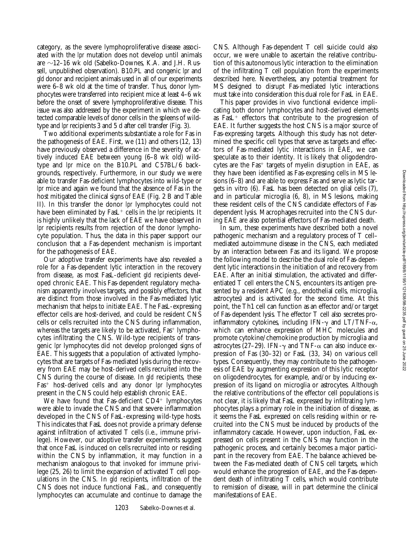category, as the severe lymphoproliferative disease associated with the *lpr* mutation does not develop until animals are  $\sim$ 12–16 wk old (Sabelko-Downes, K.A. and J.H. Russell, unpublished observation). B10.PL and congenic *lpr* and *gld* donor and recipient animals used in all of our experiments were 6–8 wk old at the time of transfer. Thus, donor lymphocytes were transferred into recipient mice at least 4–6 wk before the onset of severe lymphoproliferative disease. This issue was also addressed by the experiment in which we detected comparable levels of donor cells in the spleens of wildtype and *lpr* recipients 3 and 5 d after cell transfer (Fig. 3).

Two additional experiments substantiate a role for Fas in the pathogenesis of EAE. First, we (11) and others (12, 13) have previously observed a difference in the severity of actively induced EAE between young (6–8 wk old) wildtype and *lpr* mice on the B10.PL and C57BL/6 backgrounds, respectively. Furthermore, in our study we were able to transfer Fas-deficient lymphocytes into wild-type or *lpr* mice and again we found that the absence of Fas in the host mitigated the clinical signs of EAE (Fig. 2 B and Table II). In this transfer the donor *lpr* lymphocytes could not have been eliminated by FasL<sup>+</sup> cells in the *lpr* recipients. It is highly unlikely that the lack of EAE we have observed in *lpr* recipients results from rejection of the donor lymphocyte population. Thus, the data in this paper support our conclusion that a Fas-dependent mechanism is important for the pathogenesis of EAE.

Our adoptive transfer experiments have also revealed a role for a Fas-dependent lytic interaction in the recovery from disease, as most FasL-deficient *gld* recipients developed chronic EAE. This Fas-dependent regulatory mechanism apparently involves targets, and possibly effectors, that are distinct from those involved in the Fas-mediated lytic mechanism that helps to initiate EAE. The FasL-expressing effector cells are host-derived, and could be resident CNS cells or cells recruited into the CNS during inflammation, whereas the targets are likely to be activated,  $Fast+ lympho$ cytes infiltrating the CNS. Wild-type recipients of transgenic *lpr* lymphocytes did not develop prolonged signs of EAE. This suggests that a population of activated lymphocytes that are targets of Fas-mediated lysis during the recovery from EAE may be host-derived cells recruited into the CNS during the course of disease. In *gld* recipients, these Fas<sup>+</sup> host-derived cells and any donor *lpr* lymphocytes present in the CNS could help establish chronic EAE.

We have found that Fas-deficient  $CD4<sup>+</sup>$  lymphocytes were able to invade the CNS and that severe inflammation developed in the CNS of FasL-expressing wild-type hosts. This indicates that FasL does not provide a primary defense against infiltration of activated T cells (i.e., immune privilege). However, our adoptive transfer experiments suggest that once FasL is induced on cells recruited into or residing within the CNS by inflammation, it may function in a mechanism analogous to that invoked for immune privilege (25, 26) to limit the expansion of activated T cell populations in the CNS. In *gld* recipients, infiltration of the CNS does not induce functional FasL, and consequently lymphocytes can accumulate and continue to damage the

1203 Sabelko-Downes et al.

CNS. Although Fas-dependent T cell suicide could also occur, we were unable to ascertain the relative contribution of this autonomous lytic interaction to the elimination of the infiltrating T cell population from the experiments described here. Nevertheless, any potential treatment for MS designed to disrupt Fas-mediated lytic interactions must take into consideration this dual role for FasL in EAE.

This paper provides in vivo functional evidence implicating both donor lymphocytes and host-derived elements as  $Fast<sup>+</sup>$  effectors that contribute to the progression of EAE. It further suggests the host CNS is a major source of Fas-expressing targets. Although this study has not determined the specific cell types that serve as targets and effectors of Fas-mediated lytic interactions in EAE, we can speculate as to their identity. It is likely that oligodendrocytes are the  $Fast^+$  targets of myelin disruption in EAE, as they have been identified as Fas-expressing cells in MS lesions (6–8) and are able to express Fas and serve as lytic targets in vitro (6). FasL has been detected on glial cells (7), and in particular microglia (6, 8), in MS lesions, making these resident cells of the CNS candidate effectors of Fasdependent lysis. Macrophages recruited into the CNS during EAE are also potential effectors of Fas-mediated death.

In sum, these experiments have described both a novel pathogenic mechanism and a regulatory process of T cell– mediated autoimmune disease in the CNS, each mediated by an interaction between Fas and its ligand. We propose the following model to describe the dual role of Fas-dependent lytic interactions in the initiation of and recovery from EAE. After an initial stimulation, the activated and differentiated T cell enters the CNS, encounters its antigen presented by a resident APC (e.g., endothelial cells, microglia, astrocytes) and is activated for the second time. At this point, the Th1 cell can function as an effector and/or target of Fas-dependent lysis. The effector T cell also secretes proinflammatory cytokines, including IFN- $\gamma$  and LT/TNF- $\alpha$ , which can enhance expression of MHC molecules and promote cytokine/chemokine production by microglia and astrocytes (27–29). IFN- $\gamma$  and TNF- $\alpha$  can also induce expression of Fas (30–32) or FasL (33, 34) on various cell types. Consequently, they may contribute to the pathogenesis of EAE by augmenting expression of this lytic receptor on oligodendrocytes, for example, and/or by inducing expression of its ligand on microglia or astrocytes. Although the relative contributions of the effector cell populations is not clear, it is likely that FasL expressed by infiltrating lymphocytes plays a primary role in the initiation of disease, as it seems the FasL expressed on cells residing within or recruited into the CNS must be induced by products of the inflammatory cascade. However, upon induction, FasL expressed on cells present in the CNS may function in the pathogenic process, and certainly becomes a major participant in the recovery from EAE. The balance achieved between the Fas-mediated death of CNS cell targets, which would enhance the progression of EAE, and the Fas-dependent death of infiltrating T cells, which would contribute to remission of disease, will in part determine the clinical manifestations of EAE.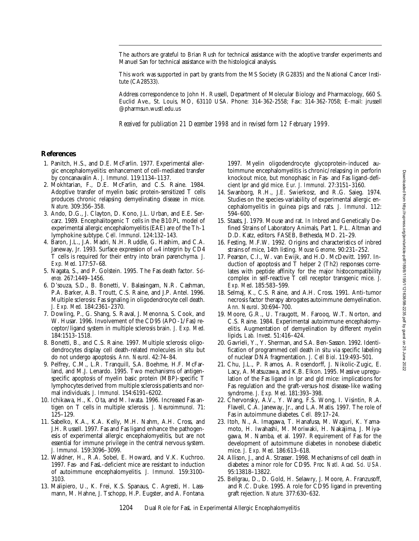The authors are grateful to Brian Rush for technical assistance with the adoptive transfer experiments and Manuel San for technical assistance with the histological analysis.

This work was supported in part by grants from the MS Society (RG2835) and the National Cancer Institute (CA28533).

Address correspondence to John H. Russell, Department of Molecular Biology and Pharmacology, 660 S. Euclid Ave., St. Louis, MO, 63110 USA. Phone: 314-362-2558; Fax: 314-362-7058; E-mail: jrussell @pharmsun.wustl.edu.us

*Received for publication 21 December 1998 and in revised form 12 February 1999.*

### **References**

- 1. Panitch, H.S., and D.E. McFarlin. 1977. Experimental allergic encephalomyelitis: enhancement of cell-mediated transfer by concanavalin A. *J. Immunol*. 119:1134–1137.
- 2. Mokhtarian, F., D.E. McFarlin, and C.S. Raine. 1984. Adoptive transfer of myelin basic protein-sensitized T cells produces chronic relapsing demyelinating disease in mice. *Nature*. 309:356–358.
- 3. Ando, D.G., J. Clayton, D. Kono, J.L. Urban, and E.E. Sercarz. 1989. Encephalitogenic T cells in the B10.PL model of experimental allergic encephalomyelitis (EAE) are of the Th-1 lymphokine subtype. *Cell. Immunol*. 124:132–143.
- 4. Baron, J.L., J.A. Madri, N.H. Ruddle, G. Hashim, and C.A. Janeway, Jr. 1993. Surface expression of  $\alpha$ 4 integrin by CD4 T cells is required for their entry into brain parenchyma. *J. Exp. Med*. 177:57–68.
- 5. Nagata, S., and P. Golstein. 1995. The Fas death factor. *Science.* 267:1449–1456.
- 6. D'souza, S.D., B. Bonetti, V. Balasingam, N.R. Cashman, P.A. Barker, A.B. Troutt, C.S. Raine, and J.P. Antel. 1996. Multiple sclerosis: Fas signaling in oligodendrocyte cell death. *J. Exp. Med.* 184:2361–2370.
- 7. Dowling, P., G. Shang, S. Raval, J. Menonna, S. Cook, and W. Husar. 1996. Involvement of the CD95 (APO-1/Fas) receptor/ligand system in multiple sclerosis brain. *J. Exp. Med.* 184:1513–1518.
- 8. Bonetti, B., and C.S. Raine. 1997. Multiple sclerosis: oligodendrocytes display cell death-related molecules in situ but do not undergo apoptosis. *Ann. Neurol*. 42:74–84.
- 9. Pelfrey, C.M., L.R. Tranquill, S.A. Boehme, H.F. McFarland, and M.J. Lenardo. 1995. Two mechanisms of antigenspecific apoptosis of myelin basic protein (MBP)-specific T lymphocytes derived from multiple sclerosis patients and normal individuals. *J. Immunol.* 154:6191–6202.
- 10. Ichikawa, H., K. Ota, and M. Iwata. 1996. Increased Fas antigen on T cells in multiple sclerosis. *J. Neuroimmunol*. 71: 125–129.
- 11. Sabelko, K.A., K.A. Kelly, M.H. Nahm, A.H. Cross, and J.H. Russell. 1997. Fas and Fas ligand enhance the pathogenesis of experimental allergic encephalomyelitis, but are not essential for immune privilege in the central nervous system. *J. Immunol.* 159:3096–3099.
- 12. Waldner, H., R.A. Sobel, E. Howard, and V.K. Kuchroo. 1997. Fas- and FasL-deficient mice are resistant to induction of autoimmune encephalomyelitis. *J. Immunol.* 159:3100– 3103.
- 13. Malipiero, U., K. Frei, K.S. Spanaus, C. Agresti, H. Lassmann, M. Hahne, J. Tschopp, H.P. Eugster, and A. Fontana.

1997. Myelin oligodendrocyte glycoprotein-induced autoimmune encephalomyelitis is chronic/relapsing in perforin knockout mice, but monophasic in Fas- and Fas ligand-deficient lpr and gld mice. *Eur. J. Immunol.* 27:3151–3160.

- 14. Swanborg, R.H., J.E. Swierkosz, and R.G. Saieg. 1974. Studies on the species-variability of experimental allergic encephalomyelitis in guinea pigs and rats. *J. Immunol*. 112: 594–600.
- 15. Staats, J. 1979. Mouse and rat. *In* Inbred and Genetically Defined Strains of Laboratory Animals, Part 1. P.L. Altman and D.D. Katz, editors. FASEB, Bethesda, MD. 21–29.
- 16. Festing, M.F.W. 1992. Origins and characteristics of inbred strains of mice, 14th listing. *Mouse Genome*. 90:231–252.
- 17. Pearson, C.I., W. van Ewijk, and H.O. McDevitt. 1997. Induction of apoptosis and T helper 2 (Th2) responses correlates with peptide affinity for the major histocompatibility complex in self-reactive T cell receptor transgenic mice. *J. Exp. Med*. 185:583–599.
- 18. Selmaj, K., C.S. Raine, and A.H. Cross. 1991. Anti-tumor necrosis factor therapy abrogates autoimmune demyelination. *Ann. Neurol*. 30:694–700.
- 19. Moore, G.R., U. Traugott, M. Farooq, W.T. Norton, and C.S. Raine. 1984. Experimental autoimmune encephalomyelitis. Augmentation of demyelination by different myelin lipids. *Lab. Invest*. 51:416–424.
- 20. Gavrieli, Y., Y. Sherman, and S.A. Ben-Sasson. 1992. Identification of programmed cell death in situ via specific labeling of nuclear DNA fragmentation. *J. Cell Biol*. 119:493–501.
- 21. Chu, J.L., P. Ramos, A. Rosendorff, J. Nikolic-Zugic, E. Lacy, A. Matsuzawa, and K.B. Elkon. 1995. Massive upregulation of the Fas ligand in lpr and gld mice: implications for Fas regulation and the graft-versus-host disease-like wasting syndrome. *J. Exp. Med*. 181:393–398.
- 22. Chervonsky, A.V., Y. Wang, F.S. Wong, I. Visintin, R.A. Flavell, C.A. Janeway, Jr., and L.A. Matis. 1997. The role of Fas in autoimmune diabetes. *Cell.* 89:17–24.
- 23. Itoh, N., A. Imagawa, T. Hanafusa, M. Waguri, K. Yamamoto, H. Iwahashi, M. Moriwaki, H. Nakajima, J. Miyagawa, M. Namba, et al. 1997. Requirement of Fas for the development of autoimmune diabetes in nonobese diabetic mice. *J. Exp. Med*. 186:613–618.
- 24. Allison, J., and A. Strasser. 1998. Mechanisms of cell death in diabetes: a minor role for CD95. *Proc. Natl. Acad. Sci. USA.* 95:13818–13822.
- 25. Bellgrau, D., D. Gold, H. Selawry, J. Moore, A. Franzusoff, and R.C. Duke. 1995. A role for CD95 ligand in preventing graft rejection. *Nature.* 377:630–632.